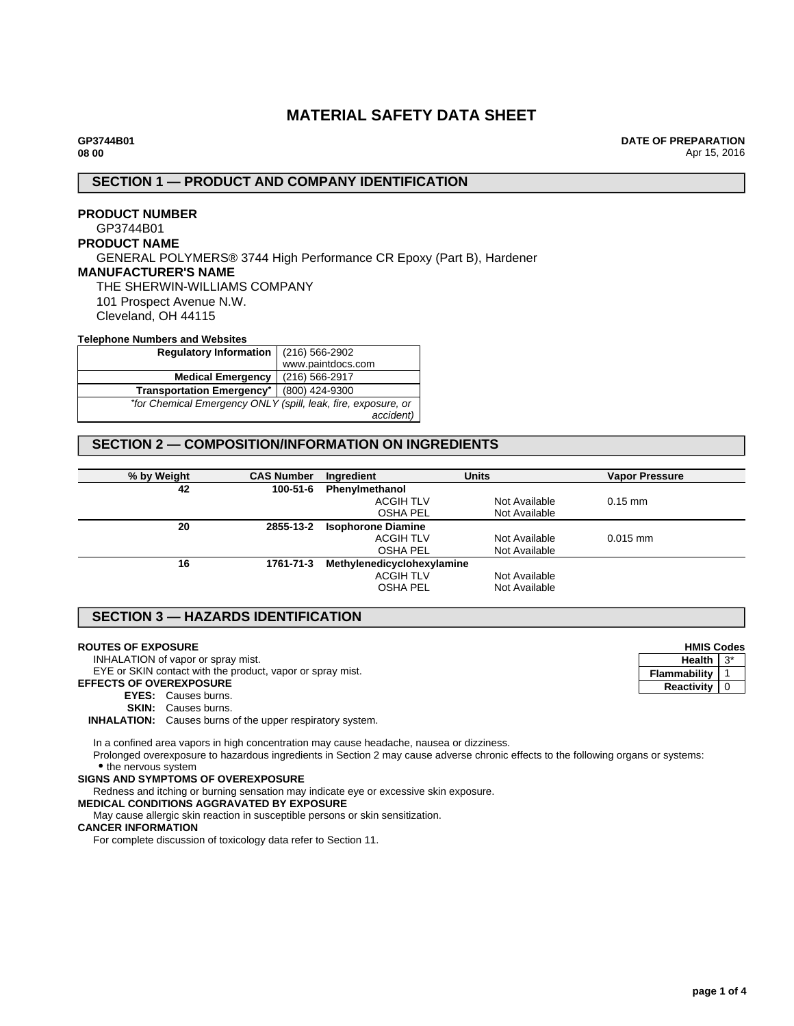# **MATERIAL SAFETY DATA SHEET**

**DATE OF PREPARATION** Apr 15, 2016

### **SECTION 1 — PRODUCT AND COMPANY IDENTIFICATION**

## **PRODUCT NUMBER** GP3744B01 **PRODUCT NAME** GENERAL POLYMERS® 3744 High Performance CR Epoxy (Part B), Hardener **MANUFACTURER'S NAME** THE SHERWIN-WILLIAMS COMPANY 101 Prospect Avenue N.W. Cleveland, OH 44115 **Telephone Numbers and Websites**

| <b>I GIGDITURE INCHING S GITG TTGDSILGS</b>                   |                   |  |
|---------------------------------------------------------------|-------------------|--|
| <b>Regulatory Information</b>                                 | (216) 566-2902    |  |
|                                                               | www.paintdocs.com |  |
| <b>Medical Emergency</b>                                      | (216) 566-2917    |  |
| <b>Transportation Emergency*</b>                              | (800) 424-9300    |  |
| *for Chemical Emergency ONLY (spill, leak, fire, exposure, or |                   |  |
|                                                               | accident)         |  |

# **SECTION 2 — COMPOSITION/INFORMATION ON INGREDIENTS**

| % by Weight | <b>CAS Number</b> | Ingredient                 | <b>Units</b>  | <b>Vapor Pressure</b> |
|-------------|-------------------|----------------------------|---------------|-----------------------|
| 42          | 100-51-6          | Phenylmethanol             |               |                       |
|             |                   | <b>ACGIH TLV</b>           | Not Available | $0.15$ mm             |
|             |                   | <b>OSHA PEL</b>            | Not Available |                       |
| 20          | 2855-13-2         | <b>Isophorone Diamine</b>  |               |                       |
|             |                   | <b>ACGIH TLV</b>           | Not Available | $0.015$ mm            |
|             |                   | <b>OSHA PEL</b>            | Not Available |                       |
| 16          | 1761-71-3         | Methylenedicyclohexylamine |               |                       |
|             |                   | <b>ACGIH TLV</b>           | Not Available |                       |
|             |                   | OSHA PEL                   | Not Available |                       |
|             |                   |                            |               |                       |

# **SECTION 3 — HAZARDS IDENTIFICATION**

#### **ROUTES OF EXPOSURE**

INHALATION of vapor or spray mist.

EYE or SKIN contact with the product, vapor or spray mist.

**EFFECTS OF OVEREXPOSURE**

**EYES:** Causes burns.

**SKIN:** Causes burns.

**INHALATION:** Causes burns of the upper respiratory system.

In a confined area vapors in high concentration may cause headache, nausea or dizziness.

Prolonged overexposure to hazardous ingredients in Section 2 may cause adverse chronic effects to the following organs or systems: • the nervous system

#### **SIGNS AND SYMPTOMS OF OVEREXPOSURE**

Redness and itching or burning sensation may indicate eye or excessive skin exposure.

#### **MEDICAL CONDITIONS AGGRAVATED BY EXPOSURE**

May cause allergic skin reaction in susceptible persons or skin sensitization.

#### **CANCER INFORMATION**

For complete discussion of toxicology data refer to Section 11.

| <b>HMIS Codes</b> |  |
|-------------------|--|
| Health            |  |
| Flammability      |  |
| <b>Reactivity</b> |  |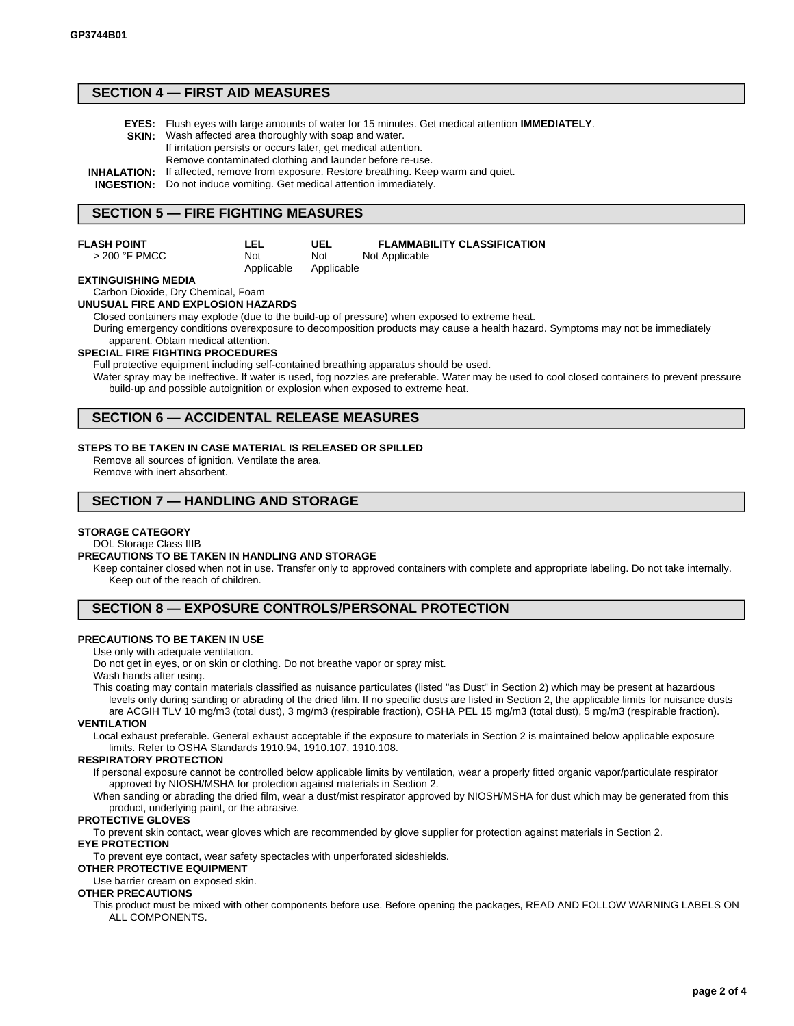### **SECTION 4 — FIRST AID MEASURES**

- **EYES:** Flush eyes with large amounts of water for 15 minutes. Get medical attention **IMMEDIATELY**.
- **SKIN:** Wash affected area thoroughly with soap and water.
	- If irritation persists or occurs later, get medical attention.
		- Remove contaminated clothing and launder before re-use.
- **INHALATION:** If affected, remove from exposure. Restore breathing. Keep warm and quiet.

**INGESTION:** Do not induce vomiting. Get medical attention immediately.

Applicable

## **SECTION 5 — FIRE FIGHTING MEASURES**

| FLASH POINT |  |
|-------------|--|
|             |  |

**LEL** Not

**UEL** Not Applicable **FLAMMABILITY CLASSIFICATION** Not Applicable

### **EXTINGUISHING MEDIA**

> 200 °F PMCC

#### Carbon Dioxide, Dry Chemical, Foam **UNUSUAL FIRE AND EXPLOSION HAZARDS**

Closed containers may explode (due to the build-up of pressure) when exposed to extreme heat.

During emergency conditions overexposure to decomposition products may cause a health hazard. Symptoms may not be immediately apparent. Obtain medical attention.

#### **SPECIAL FIRE FIGHTING PROCEDURES**

Full protective equipment including self-contained breathing apparatus should be used.

Water spray may be ineffective. If water is used, fog nozzles are preferable. Water may be used to cool closed containers to prevent pressure build-up and possible autoignition or explosion when exposed to extreme heat.

## **SECTION 6 — ACCIDENTAL RELEASE MEASURES**

#### **STEPS TO BE TAKEN IN CASE MATERIAL IS RELEASED OR SPILLED**

Remove all sources of ignition. Ventilate the area. Remove with inert absorbent.

### **SECTION 7 — HANDLING AND STORAGE**

#### **STORAGE CATEGORY**

DOL Storage Class IIIB

#### **PRECAUTIONS TO BE TAKEN IN HANDLING AND STORAGE**

Keep container closed when not in use. Transfer only to approved containers with complete and appropriate labeling. Do not take internally. Keep out of the reach of children.

## **SECTION 8 — EXPOSURE CONTROLS/PERSONAL PROTECTION**

#### **PRECAUTIONS TO BE TAKEN IN USE**

#### Use only with adequate ventilation.

Do not get in eyes, or on skin or clothing. Do not breathe vapor or spray mist. Wash hands after using.

This coating may contain materials classified as nuisance particulates (listed "as Dust" in Section 2) which may be present at hazardous levels only during sanding or abrading of the dried film. If no specific dusts are listed in Section 2, the applicable limits for nuisance dusts

are ACGIH TLV 10 mg/m3 (total dust), 3 mg/m3 (respirable fraction), OSHA PEL 15 mg/m3 (total dust), 5 mg/m3 (respirable fraction). **VENTILATION**

Local exhaust preferable. General exhaust acceptable if the exposure to materials in Section 2 is maintained below applicable exposure limits. Refer to OSHA Standards 1910.94, 1910.107, 1910.108.

#### **RESPIRATORY PROTECTION**

If personal exposure cannot be controlled below applicable limits by ventilation, wear a properly fitted organic vapor/particulate respirator approved by NIOSH/MSHA for protection against materials in Section 2.

When sanding or abrading the dried film, wear a dust/mist respirator approved by NIOSH/MSHA for dust which may be generated from this product, underlying paint, or the abrasive.

#### **PROTECTIVE GLOVES**

To prevent skin contact, wear gloves which are recommended by glove supplier for protection against materials in Section 2.

### **EYE PROTECTION**

To prevent eye contact, wear safety spectacles with unperforated sideshields.

### **OTHER PROTECTIVE EQUIPMENT**

Use barrier cream on exposed skin.

### **OTHER PRECAUTIONS**

This product must be mixed with other components before use. Before opening the packages, READ AND FOLLOW WARNING LABELS ON ALL COMPONENTS.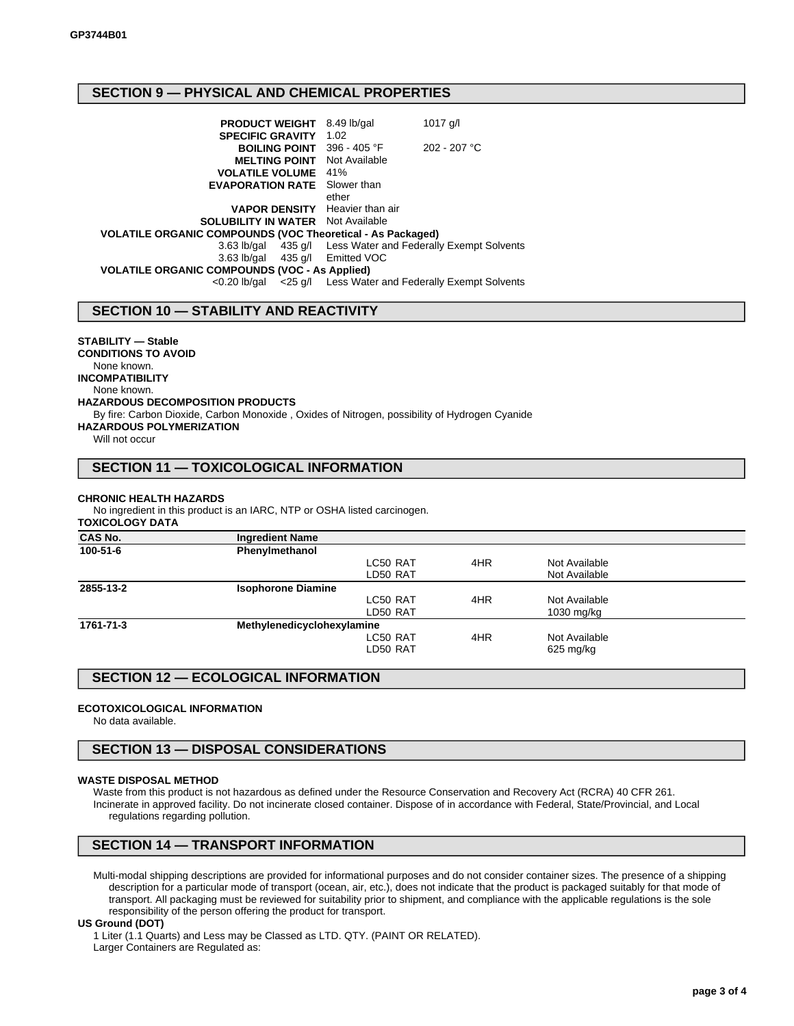# **SECTION 9 — PHYSICAL AND CHEMICAL PROPERTIES**

| <b>PRODUCT WEIGHT</b> 8.49 lb/gal<br><b>SPECIFIC GRAVITY</b>      | 1.02          | $1017$ g/l                                                   |  |
|-------------------------------------------------------------------|---------------|--------------------------------------------------------------|--|
| <b>BOILING POINT</b> 396 - 405 °F                                 |               | $202 - 207$ °C                                               |  |
| <b>MELTING POINT</b>                                              | Not Available |                                                              |  |
| <b>VOLATILE VOLUME</b>                                            | 41%           |                                                              |  |
| <b>EVAPORATION RATE</b>                                           | Slower than   |                                                              |  |
|                                                                   | ether         |                                                              |  |
| <b>VAPOR DENSITY</b> Heavier than air                             |               |                                                              |  |
| <b>SOLUBILITY IN WATER</b> Not Available                          |               |                                                              |  |
| <b>VOLATILE ORGANIC COMPOUNDS (VOC Theoretical - As Packaged)</b> |               |                                                              |  |
|                                                                   |               | 3.63 lb/gal 435 g/l Less Water and Federally Exempt Solvents |  |
| 3.63 lb/gal 435 g/l Emitted VOC                                   |               |                                                              |  |
| <b>VOLATILE ORGANIC COMPOUNDS (VOC - As Applied)</b>              |               |                                                              |  |
| <0.20 lb/gal                                                      |               | <25 g/l Less Water and Federally Exempt Solvents             |  |

## **SECTION 10 — STABILITY AND REACTIVITY**

### **STABILITY — Stable**

### **CONDITIONS TO AVOID**

None known.

**INCOMPATIBILITY** None known.

#### **HAZARDOUS DECOMPOSITION PRODUCTS**

By fire: Carbon Dioxide, Carbon Monoxide , Oxides of Nitrogen, possibility of Hydrogen Cyanide **HAZARDOUS POLYMERIZATION**

Will not occur

# **SECTION 11 — TOXICOLOGICAL INFORMATION**

#### **CHRONIC HEALTH HAZARDS**

No ingredient in this product is an IARC, NTP or OSHA listed carcinogen. **TOXICOLOGY DATA**

| <b>CAS No.</b> | <b>Ingredient Name</b>     |     |               |  |
|----------------|----------------------------|-----|---------------|--|
| 100-51-6       | Phenylmethanol             |     |               |  |
|                | LC50 RAT                   | 4HR | Not Available |  |
|                | LD50 RAT                   |     | Not Available |  |
| 2855-13-2      | <b>Isophorone Diamine</b>  |     |               |  |
|                | LC50 RAT                   | 4HR | Not Available |  |
|                | LD50 RAT                   |     | 1030 mg/kg    |  |
| 1761-71-3      | Methylenedicyclohexylamine |     |               |  |
|                | LC50 RAT                   | 4HR | Not Available |  |
|                | LD50 RAT                   |     | $625$ mg/kg   |  |
|                |                            |     |               |  |

## **SECTION 12 — ECOLOGICAL INFORMATION**

#### **ECOTOXICOLOGICAL INFORMATION**

No data available.

### **SECTION 13 — DISPOSAL CONSIDERATIONS**

#### **WASTE DISPOSAL METHOD**

Waste from this product is not hazardous as defined under the Resource Conservation and Recovery Act (RCRA) 40 CFR 261. Incinerate in approved facility. Do not incinerate closed container. Dispose of in accordance with Federal, State/Provincial, and Local regulations regarding pollution.

### **SECTION 14 — TRANSPORT INFORMATION**

Multi-modal shipping descriptions are provided for informational purposes and do not consider container sizes. The presence of a shipping description for a particular mode of transport (ocean, air, etc.), does not indicate that the product is packaged suitably for that mode of transport. All packaging must be reviewed for suitability prior to shipment, and compliance with the applicable regulations is the sole responsibility of the person offering the product for transport.

#### **US Ground (DOT)**

1 Liter (1.1 Quarts) and Less may be Classed as LTD. QTY. (PAINT OR RELATED). Larger Containers are Regulated as: